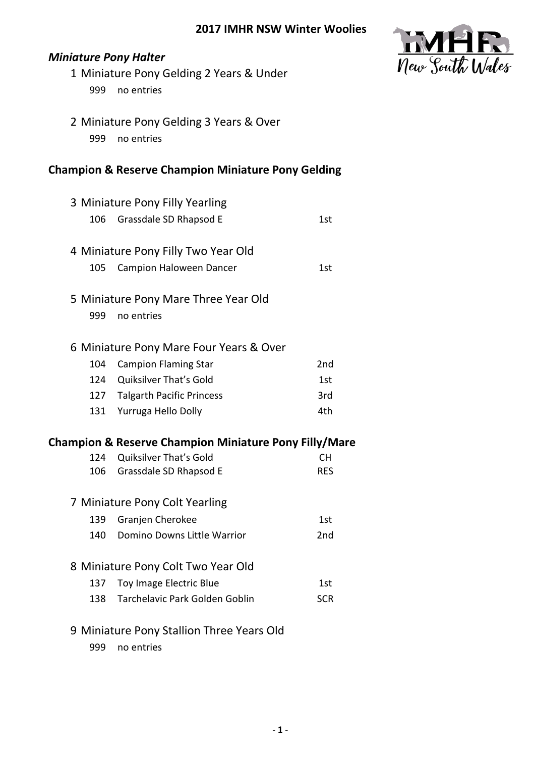

## *Miniature Pony Halter*

- 1 Miniature Pony Gelding 2 Years & Under 999 no entries
- 2 Miniature Pony Gelding 3 Years & Over 999 no entries

## **Champion & Reserve Champion Miniature Pony Gelding**

|            | 3 Miniature Pony Filly Yearling                                                            |                   |
|------------|--------------------------------------------------------------------------------------------|-------------------|
| 106        | Grassdale SD Rhapsod E                                                                     | 1st               |
|            |                                                                                            |                   |
|            | 4 Miniature Pony Filly Two Year Old                                                        |                   |
| 105        | <b>Campion Haloween Dancer</b>                                                             | 1st               |
|            | 5 Miniature Pony Mare Three Year Old                                                       |                   |
| 999        | no entries                                                                                 |                   |
|            | 6 Miniature Pony Mare Four Years & Over                                                    |                   |
| 104        | <b>Campion Flaming Star</b>                                                                | 2nd               |
|            | 124 Quiksilver That's Gold                                                                 | 1st               |
|            | 127 Talgarth Pacific Princess                                                              | 3rd               |
| 131        | Yurruga Hello Dolly                                                                        | 4th               |
|            |                                                                                            |                   |
|            |                                                                                            |                   |
| 124        | <b>Champion &amp; Reserve Champion Miniature Pony Filly/Mare</b><br>Quiksilver That's Gold | <b>CH</b>         |
| 106        | Grassdale SD Rhapsod E                                                                     | <b>RES</b>        |
|            | 7 Miniature Pony Colt Yearling                                                             |                   |
| 139        | Granjen Cherokee                                                                           | 1st               |
| 140        | Domino Downs Little Warrior                                                                | 2nd               |
|            |                                                                                            |                   |
|            | 8 Miniature Pony Colt Two Year Old                                                         |                   |
| 137<br>138 | Toy Image Electric Blue<br>Tarchelavic Park Golden Goblin                                  | 1st<br><b>SCR</b> |
|            |                                                                                            |                   |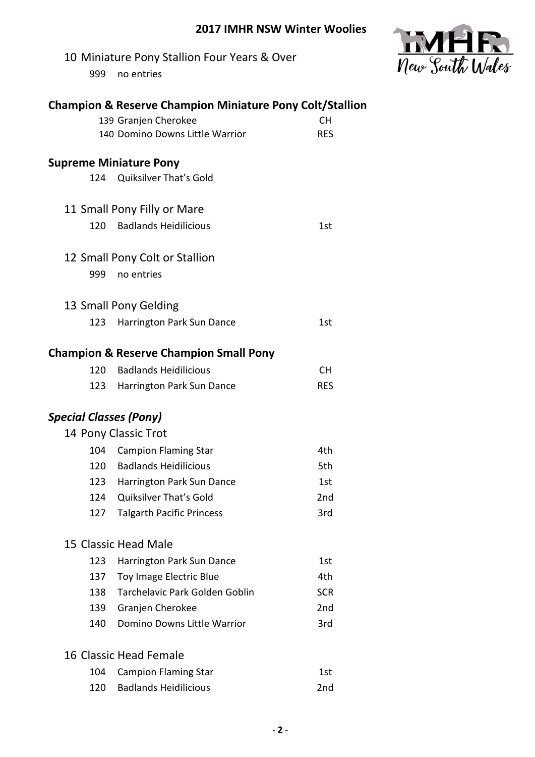

| <b>Champion &amp; Reserve Champion Miniature Pony Colt/Stallion</b><br>139 Granjen Cherokee<br><b>CH</b><br>140 Domino Downs Little Warrior<br><b>RES</b> |                                                   |            |  |
|-----------------------------------------------------------------------------------------------------------------------------------------------------------|---------------------------------------------------|------------|--|
|                                                                                                                                                           | <b>Supreme Miniature Pony</b>                     |            |  |
|                                                                                                                                                           | 124 Quiksilver That's Gold                        |            |  |
|                                                                                                                                                           | 11 Small Pony Filly or Mare                       |            |  |
| 120                                                                                                                                                       | <b>Badlands Heidilicious</b>                      | 1st        |  |
|                                                                                                                                                           | 12 Small Pony Colt or Stallion                    |            |  |
| 999                                                                                                                                                       | no entries                                        |            |  |
|                                                                                                                                                           | 13 Small Pony Gelding                             |            |  |
| 123                                                                                                                                                       | Harrington Park Sun Dance                         | 1st        |  |
|                                                                                                                                                           | <b>Champion &amp; Reserve Champion Small Pony</b> |            |  |
| 120                                                                                                                                                       | <b>Badlands Heidilicious</b>                      | <b>CH</b>  |  |
| 123                                                                                                                                                       | Harrington Park Sun Dance                         | <b>RES</b> |  |
| <b>Special Classes (Pony)</b>                                                                                                                             |                                                   |            |  |
|                                                                                                                                                           | 14 Pony Classic Trot                              |            |  |
| 104                                                                                                                                                       | <b>Campion Flaming Star</b>                       | 4th        |  |
|                                                                                                                                                           | 120 Badlands Heidilicious                         | 5th        |  |
| 123                                                                                                                                                       | Harrington Park Sun Dance                         | 1st        |  |
| 124                                                                                                                                                       | Quiksilver That's Gold                            | 2nd        |  |
| 127                                                                                                                                                       | <b>Talgarth Pacific Princess</b>                  | 3rd        |  |
|                                                                                                                                                           | 15 Classic Head Male                              |            |  |
| 123                                                                                                                                                       | Harrington Park Sun Dance                         | 1st        |  |
| 137                                                                                                                                                       | Toy Image Electric Blue                           | 4th        |  |
| 138                                                                                                                                                       | Tarchelavic Park Golden Goblin                    | <b>SCR</b> |  |
| 139                                                                                                                                                       | Granjen Cherokee                                  | 2nd        |  |
| 140                                                                                                                                                       | Domino Downs Little Warrior                       | 3rd        |  |
|                                                                                                                                                           | 16 Classic Head Female                            |            |  |
| 104                                                                                                                                                       | <b>Campion Flaming Star</b>                       | 1st        |  |
| 120                                                                                                                                                       | <b>Badlands Heidilicious</b>                      | 2nd        |  |
|                                                                                                                                                           |                                                   |            |  |

10 Miniature Pony Stallion Four Years & Over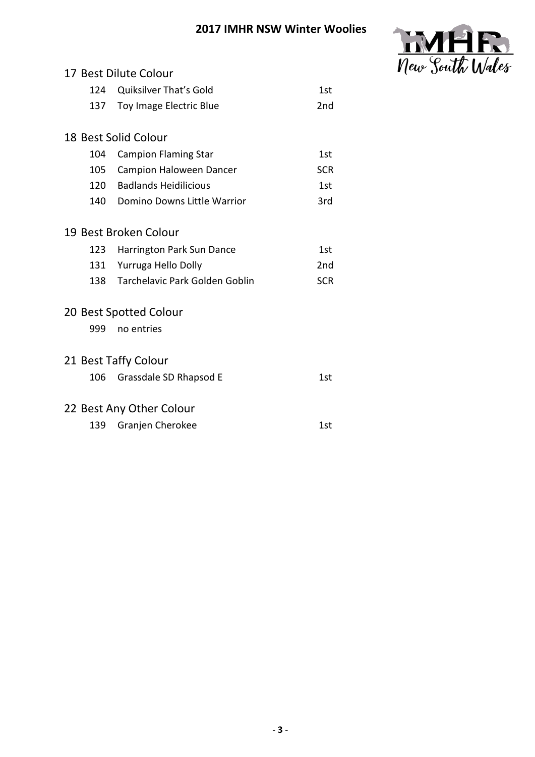

| 17 Best Dilute Colour |                                |                 |
|-----------------------|--------------------------------|-----------------|
| 124                   | <b>Quiksilver That's Gold</b>  | 1st             |
| 137                   | Toy Image Electric Blue        | 2 <sub>nd</sub> |
|                       |                                |                 |
|                       | 18 Best Solid Colour           |                 |
| 104                   | <b>Campion Flaming Star</b>    | 1st             |
| 105                   | Campion Haloween Dancer        | <b>SCR</b>      |
| 120                   | <b>Badlands Heidilicious</b>   | 1st             |
| 140                   | Domino Downs Little Warrior    | 3rd             |
|                       |                                |                 |
|                       | 19 Best Broken Colour          |                 |
| 123                   | Harrington Park Sun Dance      | 1st             |
| 131                   | Yurruga Hello Dolly            | 2 <sub>nd</sub> |
| 138                   | Tarchelavic Park Golden Goblin | <b>SCR</b>      |
|                       |                                |                 |
|                       | 20 Best Spotted Colour         |                 |
| 999                   | no entries                     |                 |
|                       | 21 Best Taffy Colour           |                 |
| 106                   | Grassdale SD Rhapsod E         | 1st             |
|                       |                                |                 |
|                       | 22 Best Any Other Colour       |                 |
| 139                   | Granjen Cherokee               | 1st             |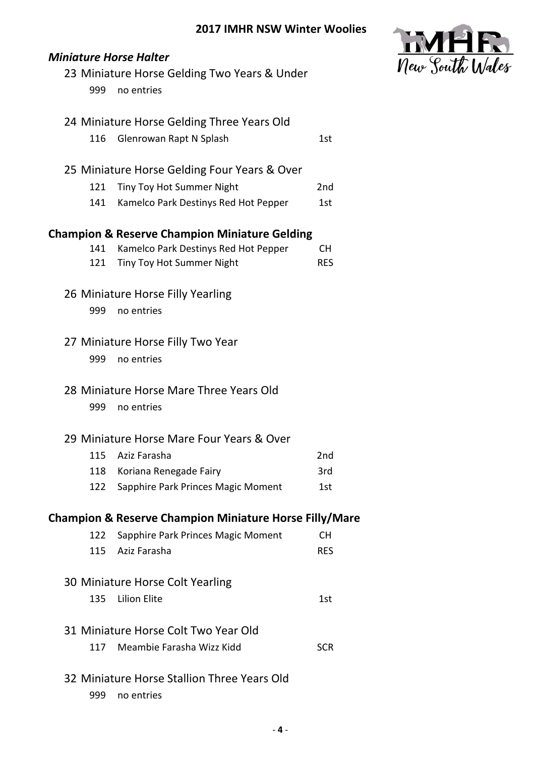

|     | 23 Miniature Horse Gelding Two Years & Under                      |                 |
|-----|-------------------------------------------------------------------|-----------------|
| 999 | no entries                                                        |                 |
|     |                                                                   |                 |
|     | 24 Miniature Horse Gelding Three Years Old                        |                 |
| 116 | Glenrowan Rapt N Splash                                           | 1st             |
|     | 25 Miniature Horse Gelding Four Years & Over                      |                 |
| 121 | Tiny Toy Hot Summer Night                                         | 2 <sub>nd</sub> |
| 141 | Kamelco Park Destinys Red Hot Pepper                              | 1st             |
|     |                                                                   |                 |
|     | <b>Champion &amp; Reserve Champion Miniature Gelding</b>          |                 |
| 141 | Kamelco Park Destinys Red Hot Pepper                              | CH.             |
| 121 | Tiny Toy Hot Summer Night                                         | <b>RES</b>      |
|     | 26 Miniature Horse Filly Yearling                                 |                 |
| 999 | no entries                                                        |                 |
|     |                                                                   |                 |
|     | 27 Miniature Horse Filly Two Year                                 |                 |
| 999 | no entries                                                        |                 |
|     |                                                                   |                 |
|     | 28 Miniature Horse Mare Three Years Old                           |                 |
| 999 | no entries                                                        |                 |
|     | 29 Miniature Horse Mare Four Years & Over                         |                 |
| 115 | Aziz Farasha                                                      | 2 <sub>nd</sub> |
|     | 118 Koriana Renegade Fairy                                        | 3rd             |
| 122 | Sapphire Park Princes Magic Moment                                | 1st             |
|     |                                                                   |                 |
|     | <b>Champion &amp; Reserve Champion Miniature Horse Filly/Mare</b> |                 |
| 122 | Sapphire Park Princes Magic Moment                                | CH.             |
| 115 | Aziz Farasha                                                      | <b>RES</b>      |
|     | 30 Miniature Horse Colt Yearling                                  |                 |
| 135 | <b>Lilion Elite</b>                                               | 1st             |
|     |                                                                   |                 |
|     | 31 Miniature Horse Colt Two Year Old                              |                 |
| 117 | Meambie Farasha Wizz Kidd                                         | <b>SCR</b>      |
|     |                                                                   |                 |
|     | 32 Miniature Horse Stallion Three Years Old                       |                 |
| 999 | no entries                                                        |                 |

*Miniature Horse Halter*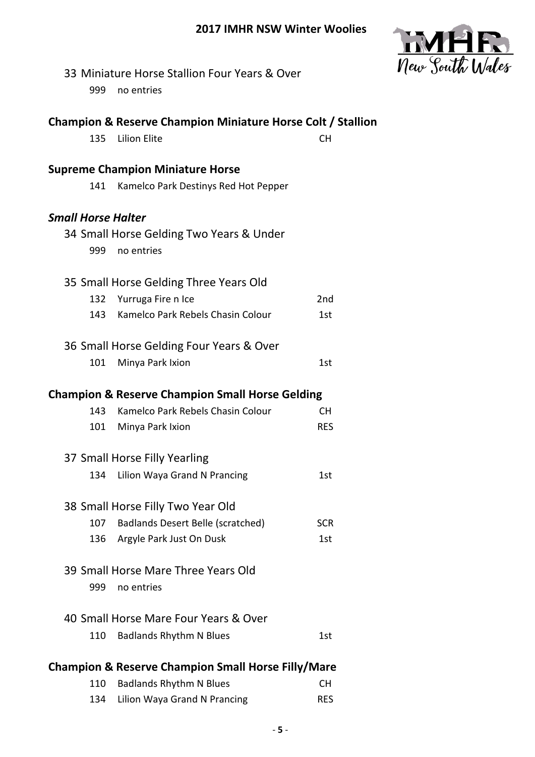

|                           | 33 Miniature Horse Stallion Four Years & Over                                                 |                 |
|---------------------------|-----------------------------------------------------------------------------------------------|-----------------|
| 999                       | no entries                                                                                    |                 |
|                           |                                                                                               |                 |
|                           | <b>Champion &amp; Reserve Champion Miniature Horse Colt / Stallion</b><br><b>Lilion Elite</b> |                 |
| 135                       |                                                                                               | <b>CH</b>       |
|                           | <b>Supreme Champion Miniature Horse</b>                                                       |                 |
| 141                       | Kamelco Park Destinys Red Hot Pepper                                                          |                 |
| <b>Small Horse Halter</b> |                                                                                               |                 |
|                           | 34 Small Horse Gelding Two Years & Under                                                      |                 |
| 999                       | no entries                                                                                    |                 |
|                           |                                                                                               |                 |
|                           | 35 Small Horse Gelding Three Years Old                                                        |                 |
| 132                       | Yurruga Fire n Ice                                                                            | 2 <sub>nd</sub> |
| 143                       | Kamelco Park Rebels Chasin Colour                                                             | 1st             |
|                           | 36 Small Horse Gelding Four Years & Over                                                      |                 |
| 101                       | Minya Park Ixion                                                                              | 1st             |
|                           |                                                                                               |                 |
|                           | <b>Champion &amp; Reserve Champion Small Horse Gelding</b>                                    |                 |
| 143                       | Kamelco Park Rebels Chasin Colour                                                             | <b>CH</b>       |
| 101                       | Minya Park Ixion                                                                              | <b>RES</b>      |
|                           | 37 Small Horse Filly Yearling                                                                 |                 |
| 134                       | Lilion Waya Grand N Prancing                                                                  | 1st             |
|                           |                                                                                               |                 |
|                           | 38 Small Horse Filly Two Year Old                                                             |                 |
| 107                       | <b>Badlands Desert Belle (scratched)</b>                                                      | <b>SCR</b>      |
| 136                       | Argyle Park Just On Dusk                                                                      | 1st             |
|                           | 39 Small Horse Mare Three Years Old                                                           |                 |
| 999                       | no entries                                                                                    |                 |
|                           |                                                                                               |                 |
|                           | 40 Small Horse Mare Four Years & Over                                                         |                 |
| 110                       | <b>Badlands Rhythm N Blues</b>                                                                | 1st             |
|                           |                                                                                               |                 |
|                           | <b>Champion &amp; Reserve Champion Small Horse Filly/Mare</b>                                 |                 |
| 110                       | <b>Badlands Rhythm N Blues</b>                                                                | <b>CH</b>       |
| 134                       | Lilion Waya Grand N Prancing                                                                  | <b>RES</b>      |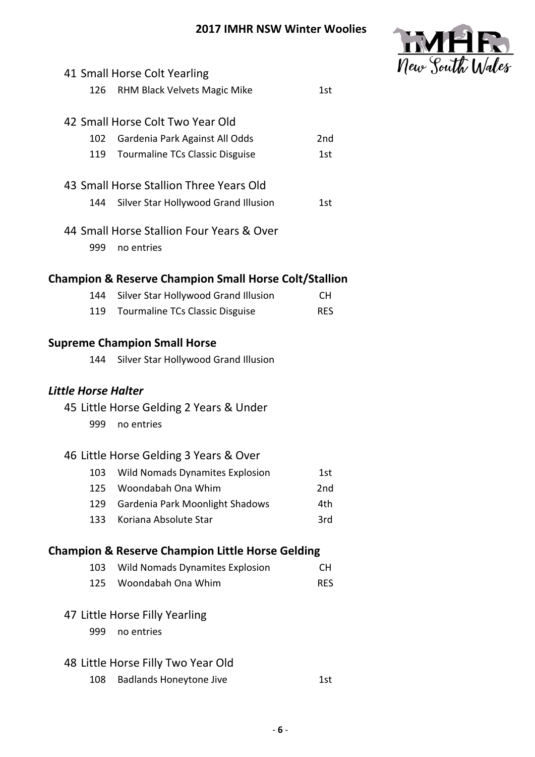

|                     | 41 Small Horse Colt Yearling                                     |                 |
|---------------------|------------------------------------------------------------------|-----------------|
| 126                 | RHM Black Velvets Magic Mike                                     | 1st             |
|                     |                                                                  |                 |
|                     | 42 Small Horse Colt Two Year Old                                 |                 |
| 102                 | Gardenia Park Against All Odds                                   | 2 <sub>nd</sub> |
| 119                 | <b>Tourmaline TCs Classic Disguise</b>                           | 1st             |
|                     | 43 Small Horse Stallion Three Years Old                          |                 |
| 144                 | Silver Star Hollywood Grand Illusion                             | 1st             |
|                     | 44 Small Horse Stallion Four Years & Over                        |                 |
| 999                 | no entries                                                       |                 |
|                     | <b>Champion &amp; Reserve Champion Small Horse Colt/Stallion</b> |                 |
| 144                 | Silver Star Hollywood Grand Illusion                             | CH.             |
| 119                 | <b>Tourmaline TCs Classic Disguise</b>                           | <b>RES</b>      |
|                     | <b>Supreme Champion Small Horse</b>                              |                 |
| 144                 | Silver Star Hollywood Grand Illusion                             |                 |
| Little Horse Halter |                                                                  |                 |
|                     | 45 Little Horse Gelding 2 Years & Under                          |                 |
| 999                 | no entries                                                       |                 |
|                     | 46 Little Horse Gelding 3 Years & Over                           |                 |
| 103                 | Wild Nomads Dynamites Explosion                                  | 1st             |
| 125                 | Woondabah Ona Whim                                               | 2nd             |
| 129                 | Gardenia Park Moonlight Shadows                                  | 4th             |
| 133                 | Koriana Absolute Star                                            | 3rd             |
|                     | <b>Champion &amp; Reserve Champion Little Horse Gelding</b>      |                 |
| 103                 | <b>Wild Nomads Dynamites Explosion</b>                           | <b>CH</b>       |
| 125                 | Woondabah Ona Whim                                               | <b>RES</b>      |
|                     | 47 Little Horse Filly Yearling                                   |                 |
| 999                 | no entries                                                       |                 |
|                     | 48 Little Horse Filly Two Year Old                               |                 |
| 108                 | <b>Badlands Honeytone Jive</b>                                   | 1st             |
|                     |                                                                  |                 |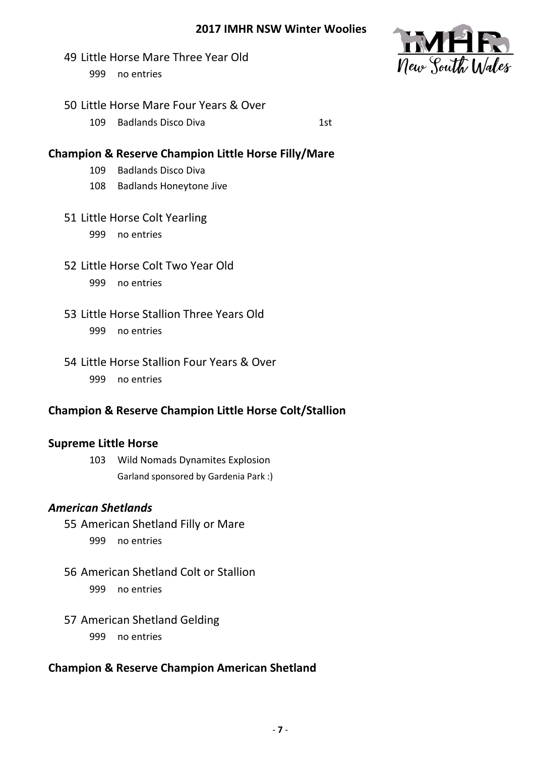- Little Horse Mare Three Year Old no entries
- Little Horse Mare Four Years & Over
	- 109 Badlands Disco Diva 15

## **Champion & Reserve Champion Little Horse Filly/Mare**

- Badlands Disco Diva
- Badlands Honeytone Jive
- Little Horse Colt Yearling no entries
- Little Horse Colt Two Year Old no entries
- Little Horse Stallion Three Years Old no entries
- Little Horse Stallion Four Years & Over no entries

## **Champion & Reserve Champion Little Horse Colt/Stallion**

## **Supreme Little Horse**

 Wild Nomads Dynamites Explosion Garland sponsored by Gardenia Park :)

## *American Shetlands*

 American Shetland Filly or Mare no entries

- American Shetland Colt or Stallion no entries
- American Shetland Gelding no entries

# **Champion & Reserve Champion American Shetland**

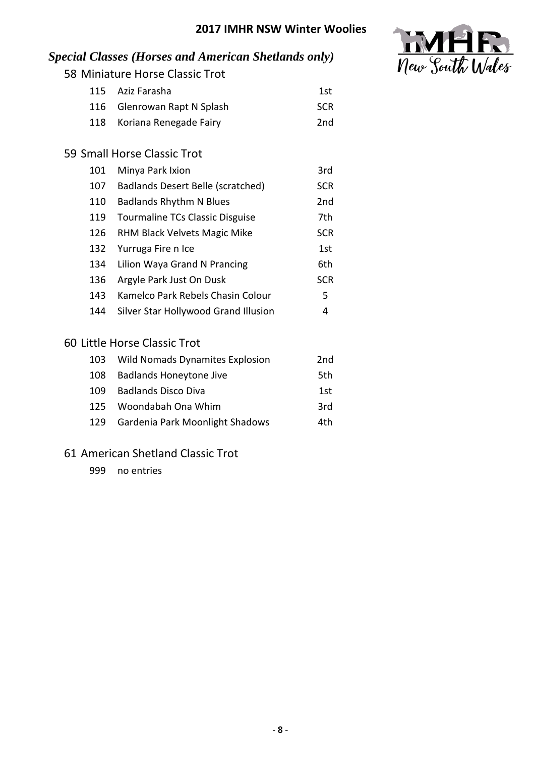

# *Special Classes (Horses and American Shetlands only)*

58 Miniature Horse Classic Trot

| 115 Aziz Farasha            | 1st        |
|-----------------------------|------------|
| 116 Glenrowan Rapt N Splash | <b>SCR</b> |
| 118 Koriana Renegade Fairy  | 2nd        |

## 59 Small Horse Classic Trot

| 101 | Minya Park Ixion                       | 3rd             |
|-----|----------------------------------------|-----------------|
| 107 | Badlands Desert Belle (scratched)      | <b>SCR</b>      |
| 110 | <b>Badlands Rhythm N Blues</b>         | 2 <sub>nd</sub> |
| 119 | <b>Tourmaline TCs Classic Disguise</b> | 7th             |
| 126 | RHM Black Velvets Magic Mike           | <b>SCR</b>      |
| 132 | Yurruga Fire n Ice                     | 1st             |
| 134 | Lilion Waya Grand N Prancing           | 6th             |
| 136 | Argyle Park Just On Dusk               | <b>SCR</b>      |
| 143 | Kamelco Park Rebels Chasin Colour      | 5               |
| 144 | Silver Star Hollywood Grand Illusion   | 4               |
|     |                                        |                 |

### 60 Little Horse Classic Trot

|     | 103 Wild Nomads Dynamites Explosion | 2nd  |
|-----|-------------------------------------|------|
| 108 | <b>Badlands Honeytone Jive</b>      | .5th |
| 109 | <b>Badlands Disco Diva</b>          | 1st  |
| 125 | Woondabah Ona Whim                  | 3rd  |
| 129 | Gardenia Park Moonlight Shadows     | 4th  |

## 61 American Shetland Classic Trot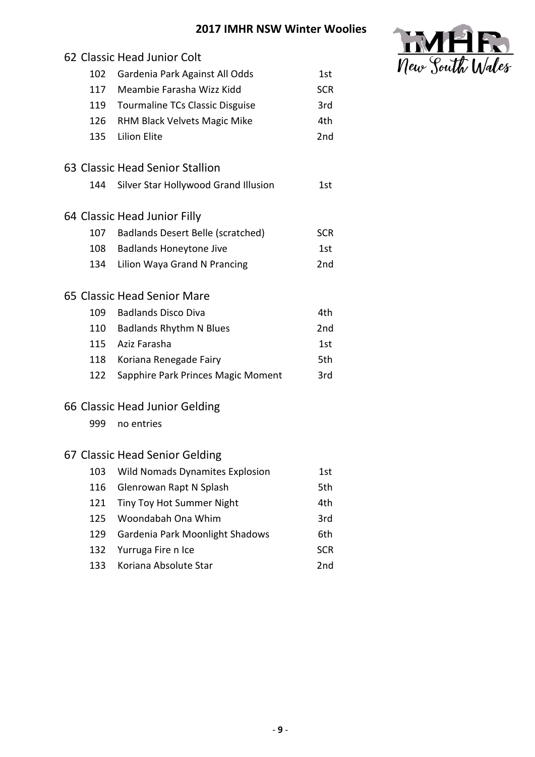

|     | 62 Classic Head Junior Colt            |            |
|-----|----------------------------------------|------------|
| 102 | Gardenia Park Against All Odds         | 1st        |
| 117 | Meambie Farasha Wizz Kidd              | <b>SCR</b> |
|     | 119 Tourmaline TCs Classic Disguise    | 3rd        |
|     | 126 RHM Black Velvets Magic Mike       | 4th        |
| 135 | <b>Lilion Elite</b>                    | 2nd        |
|     | 63 Classic Head Senior Stallion        |            |
| 144 | Silver Star Hollywood Grand Illusion   | 1st        |
|     | 64 Classic Head Junior Filly           |            |
|     | 107 Badlands Desert Belle (scratched)  | <b>SCR</b> |
|     | 108 Badlands Honeytone Jive            | 1st        |
| 134 | Lilion Waya Grand N Prancing           | 2nd        |
|     | 65 Classic Head Senior Mare            |            |
|     | 109 Badlands Disco Diva                | 4th        |
|     | 110 Badlands Rhythm N Blues            | 2nd        |
|     | 115 Aziz Farasha                       | 1st        |
|     | 118 Koriana Renegade Fairy             | 5th        |
| 122 | Sapphire Park Princes Magic Moment     | 3rd        |
|     | 66 Classic Head Junior Gelding         |            |
| 999 | no entries                             |            |
|     | 67 Classic Head Senior Gelding         |            |
| 103 | <b>Wild Nomads Dynamites Explosion</b> | 1st        |
| 116 | Glenrowan Rapt N Splash                | 5th        |
| 121 | Tiny Toy Hot Summer Night              | 4th        |
| 125 | Woondabah Ona Whim                     | 3rd        |
| 129 | Gardenia Park Moonlight Shadows        | 6th        |
| 132 | Yurruga Fire n Ice                     | <b>SCR</b> |
| 133 | Koriana Absolute Star                  | 2nd        |
|     |                                        |            |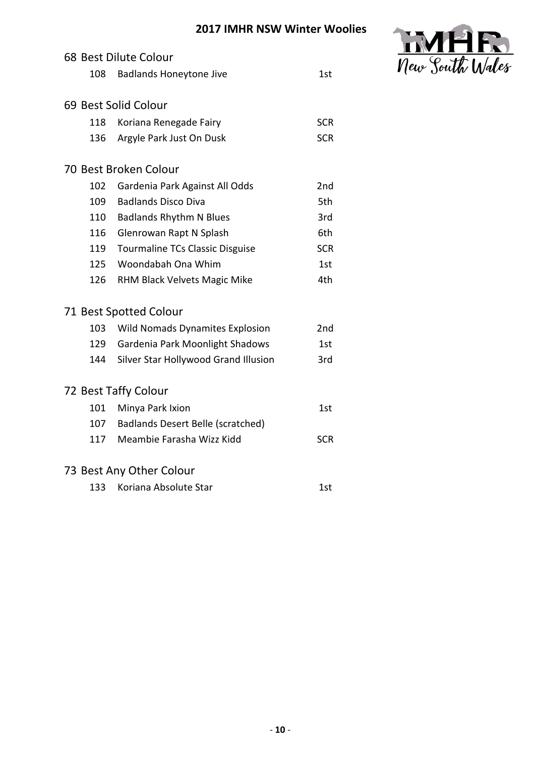

|     | 68 Best Dilute Colour                    |                 |
|-----|------------------------------------------|-----------------|
| 108 | <b>Badlands Honeytone Jive</b>           | 1st             |
|     | 69 Best Solid Colour                     |                 |
|     |                                          |                 |
| 118 | Koriana Renegade Fairy                   | <b>SCR</b>      |
| 136 | Argyle Park Just On Dusk                 | <b>SCR</b>      |
|     | 70 Best Broken Colour                    |                 |
| 102 | Gardenia Park Against All Odds           | 2 <sub>nd</sub> |
| 109 | <b>Badlands Disco Diva</b>               | 5th             |
| 110 | <b>Badlands Rhythm N Blues</b>           | 3rd             |
| 116 | Glenrowan Rapt N Splash                  | 6th             |
| 119 | <b>Tourmaline TCs Classic Disguise</b>   | <b>SCR</b>      |
| 125 | Woondabah Ona Whim                       | 1st             |
| 126 | RHM Black Velvets Magic Mike             | 4th             |
|     | 71 Best Spotted Colour                   |                 |
| 103 | <b>Wild Nomads Dynamites Explosion</b>   | 2nd             |
| 129 | Gardenia Park Moonlight Shadows          | 1st             |
| 144 | Silver Star Hollywood Grand Illusion     | 3rd             |
|     | 72 Best Taffy Colour                     |                 |
| 101 | Minya Park Ixion                         | 1st             |
| 107 | <b>Badlands Desert Belle (scratched)</b> |                 |
| 117 | Meambie Farasha Wizz Kidd                | <b>SCR</b>      |
|     | 73 Best Any Other Colour                 |                 |
| 133 | Koriana Absolute Star                    | 1st             |
|     |                                          |                 |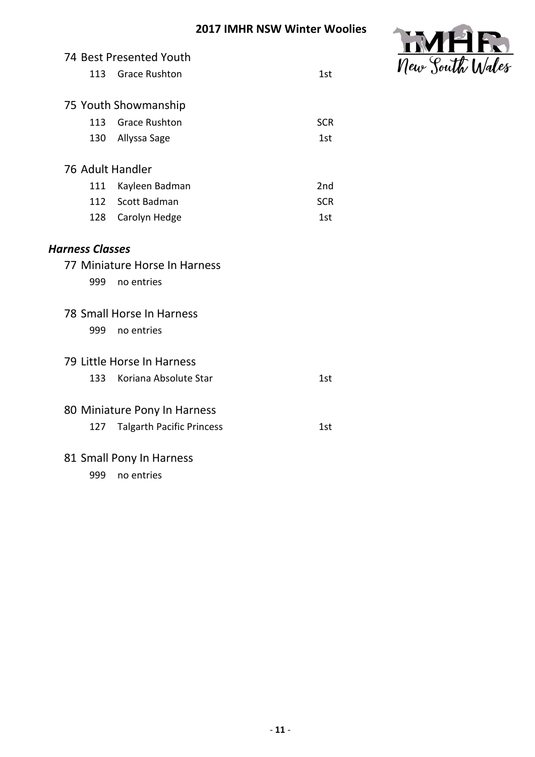

|                        | 74 Best Presented Youth          |                 |
|------------------------|----------------------------------|-----------------|
| 113                    | <b>Grace Rushton</b>             | 1st             |
|                        |                                  |                 |
|                        | 75 Youth Showmanship             |                 |
| 113                    | <b>Grace Rushton</b>             | <b>SCR</b>      |
| 130                    | Allyssa Sage                     | 1st             |
| 76 Adult Handler       |                                  |                 |
| 111                    | Kayleen Badman                   | 2 <sub>nd</sub> |
| 112                    | Scott Badman                     | <b>SCR</b>      |
| 128                    | Carolyn Hedge                    | 1st             |
|                        |                                  |                 |
| <b>Harness Classes</b> |                                  |                 |
|                        | 77 Miniature Horse In Harness    |                 |
| 999                    | no entries                       |                 |
|                        | 78 Small Horse In Harness        |                 |
| 999                    | no entries                       |                 |
|                        |                                  |                 |
|                        | 79 Little Horse In Harness       |                 |
| 133                    | Koriana Absolute Star            | 1st             |
|                        | 80 Miniature Pony In Harness     |                 |
| 127                    | <b>Talgarth Pacific Princess</b> | 1st             |
|                        |                                  |                 |
|                        | 81 Small Pony In Harness         |                 |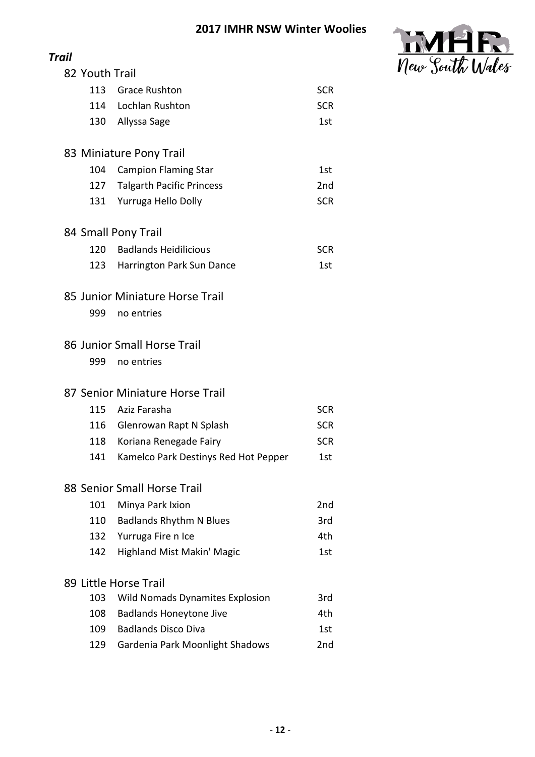

| Trail                       |                                 |                                        |                 |  |  |  |
|-----------------------------|---------------------------------|----------------------------------------|-----------------|--|--|--|
| 82 Youth Trail              |                                 |                                        |                 |  |  |  |
|                             |                                 | 113 Grace Rushton                      | <b>SCR</b>      |  |  |  |
|                             |                                 | 114 Lochlan Rushton                    | <b>SCR</b>      |  |  |  |
|                             |                                 | 130 Allyssa Sage                       | 1st             |  |  |  |
| 83 Miniature Pony Trail     |                                 |                                        |                 |  |  |  |
|                             | 104                             | <b>Campion Flaming Star</b>            | 1st             |  |  |  |
|                             | 127                             | <b>Talgarth Pacific Princess</b>       | 2 <sub>nd</sub> |  |  |  |
|                             | 131                             | Yurruga Hello Dolly                    | <b>SCR</b>      |  |  |  |
| 84 Small Pony Trail         |                                 |                                        |                 |  |  |  |
|                             | 120                             | <b>Badlands Heidilicious</b>           | <b>SCR</b>      |  |  |  |
|                             | 123                             | Harrington Park Sun Dance              | 1st             |  |  |  |
|                             | 85 Junior Miniature Horse Trail |                                        |                 |  |  |  |
|                             | 999                             | no entries                             |                 |  |  |  |
| 86 Junior Small Horse Trail |                                 |                                        |                 |  |  |  |
|                             | 999                             | no entries                             |                 |  |  |  |
|                             |                                 | 87 Senior Miniature Horse Trail        |                 |  |  |  |
|                             | 115                             | Aziz Farasha                           | <b>SCR</b>      |  |  |  |
|                             |                                 | 116 Glenrowan Rapt N Splash            | <b>SCR</b>      |  |  |  |
|                             | 118                             | Koriana Renegade Fairy                 | <b>SCR</b>      |  |  |  |
|                             | 141                             | Kamelco Park Destinys Red Hot Pepper   | 1st             |  |  |  |
| 88 Senior Small Horse Trail |                                 |                                        |                 |  |  |  |
|                             | 101                             | Minya Park Ixion                       | 2 <sub>nd</sub> |  |  |  |
|                             | 110                             | <b>Badlands Rhythm N Blues</b>         | 3rd             |  |  |  |
|                             | 132                             | Yurruga Fire n Ice                     | 4th             |  |  |  |
|                             | 142                             | <b>Highland Mist Makin' Magic</b>      | 1st             |  |  |  |
| 89 Little Horse Trail       |                                 |                                        |                 |  |  |  |
|                             | 103                             | <b>Wild Nomads Dynamites Explosion</b> | 3rd             |  |  |  |
|                             | 108                             | <b>Badlands Honeytone Jive</b>         | 4th             |  |  |  |
|                             | 109                             | <b>Badlands Disco Diva</b>             | 1st             |  |  |  |
|                             | 129                             | Gardenia Park Moonlight Shadows        | 2nd             |  |  |  |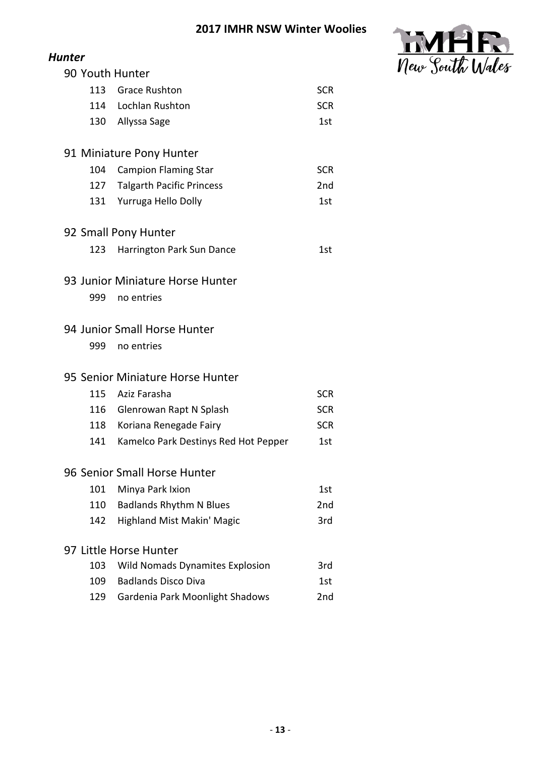

|                              | <b>Hunter</b>                    |                                        |                 |  |  |  |
|------------------------------|----------------------------------|----------------------------------------|-----------------|--|--|--|
|                              | 90 Youth Hunter                  |                                        |                 |  |  |  |
|                              |                                  | 113 Grace Rushton                      | <b>SCR</b>      |  |  |  |
|                              |                                  | 114 Lochlan Rushton                    | <b>SCR</b>      |  |  |  |
|                              | 130                              | Allyssa Sage                           | 1st             |  |  |  |
| 91 Miniature Pony Hunter     |                                  |                                        |                 |  |  |  |
|                              | 104                              | <b>Campion Flaming Star</b>            | <b>SCR</b>      |  |  |  |
|                              | 127                              | <b>Talgarth Pacific Princess</b>       | 2 <sub>nd</sub> |  |  |  |
|                              | 131                              | Yurruga Hello Dolly                    | 1st             |  |  |  |
| 92 Small Pony Hunter         |                                  |                                        |                 |  |  |  |
|                              | 123                              | Harrington Park Sun Dance              | 1st             |  |  |  |
|                              | 93 Junior Miniature Horse Hunter |                                        |                 |  |  |  |
|                              | 999                              | no entries                             |                 |  |  |  |
|                              |                                  | 94 Junior Small Horse Hunter           |                 |  |  |  |
|                              | 999                              | no entries                             |                 |  |  |  |
|                              | 95 Senior Miniature Horse Hunter |                                        |                 |  |  |  |
|                              | 115                              | Aziz Farasha                           | <b>SCR</b>      |  |  |  |
|                              | 116                              | Glenrowan Rapt N Splash                | <b>SCR</b>      |  |  |  |
|                              | 118                              | Koriana Renegade Fairy                 | <b>SCR</b>      |  |  |  |
|                              | 141                              | Kamelco Park Destinys Red Hot Pepper   | 1st             |  |  |  |
| 96 Senior Small Horse Hunter |                                  |                                        |                 |  |  |  |
|                              | 101                              | Minya Park Ixion                       | 1st             |  |  |  |
|                              | 110                              | <b>Badlands Rhythm N Blues</b>         | 2nd             |  |  |  |
|                              | 142                              | <b>Highland Mist Makin' Magic</b>      | 3rd             |  |  |  |
|                              |                                  | 97 Little Horse Hunter                 |                 |  |  |  |
|                              | 103                              | <b>Wild Nomads Dynamites Explosion</b> | 3rd             |  |  |  |
|                              | 109                              | <b>Badlands Disco Diva</b>             | 1st             |  |  |  |
|                              | 129                              | Gardenia Park Moonlight Shadows        | 2nd             |  |  |  |
|                              |                                  |                                        |                 |  |  |  |